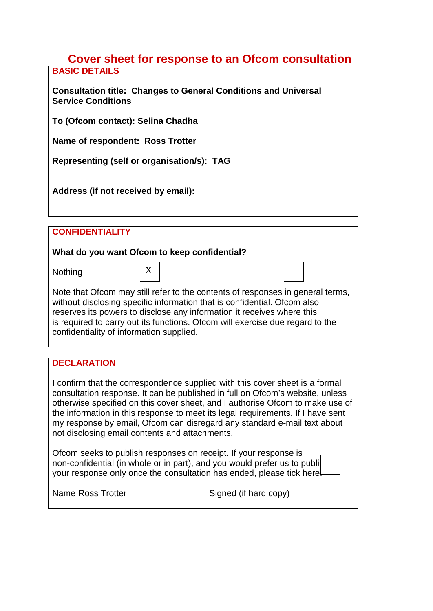### **Cover sheet for response to an Ofcom consultation BASIC DETAILS**

**Consultation title: Changes to General Conditions and Universal Service Conditions**

**To (Ofcom contact): Selina Chadha**

**Name of respondent: Ross Trotter**

**Representing (self or organisation/s): TAG**

**Address (if not received by email):** 

**CONFIDENTIALITY** 

# **What do you want Ofcom to keep confidential?**

Nothing

| Note that Ofcom may still refer to the contents of responses in general terms, |  |
|--------------------------------------------------------------------------------|--|
| without disclosing specific information that is confidential. Ofcom also       |  |
| reserves its nowers to disclose any information it receives where this         |  |

reserves its powers to disclose any information it receives where this is required to carry out its functions. Ofcom will exercise due regard to the confidentiality of information supplied.

# **DECLARATION**

I confirm that the correspondence supplied with this cover sheet is a formal consultation response. It can be published in full on Ofcom's website, unless otherwise specified on this cover sheet, and I authorise Ofcom to make use of the information in this response to meet its legal requirements. If I have sent my response by email, Ofcom can disregard any standard e-mail text about not disclosing email contents and attachments.

Ofcom seeks to publish responses on receipt. If your response is non-confidential (in whole or in part), and you would prefer us to publiyour response only once the consultation has ended, please tick here.

Name Ross Trotter Signed (if hard copy)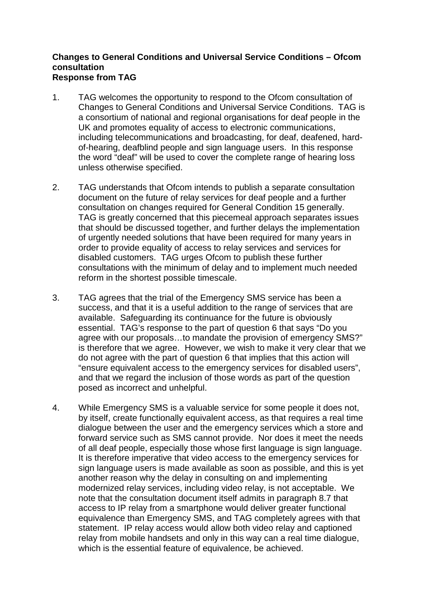### **Changes to General Conditions and Universal Service Conditions – Ofcom consultation Response from TAG**

- 1. TAG welcomes the opportunity to respond to the Ofcom consultation of Changes to General Conditions and Universal Service Conditions. TAG is a consortium of national and regional organisations for deaf people in the UK and promotes equality of access to electronic communications, including telecommunications and broadcasting, for deaf, deafened, hardof-hearing, deafblind people and sign language users. In this response the word "deaf" will be used to cover the complete range of hearing loss unless otherwise specified.
- 2. TAG understands that Ofcom intends to publish a separate consultation document on the future of relay services for deaf people and a further consultation on changes required for General Condition 15 generally. TAG is greatly concerned that this piecemeal approach separates issues that should be discussed together, and further delays the implementation of urgently needed solutions that have been required for many years in order to provide equality of access to relay services and services for disabled customers. TAG urges Ofcom to publish these further consultations with the minimum of delay and to implement much needed reform in the shortest possible timescale.
- 3. TAG agrees that the trial of the Emergency SMS service has been a success, and that it is a useful addition to the range of services that are available. Safeguarding its continuance for the future is obviously essential. TAG's response to the part of question 6 that says "Do you agree with our proposals…to mandate the provision of emergency SMS?" is therefore that we agree. However, we wish to make it very clear that we do not agree with the part of question 6 that implies that this action will "ensure equivalent access to the emergency services for disabled users", and that we regard the inclusion of those words as part of the question posed as incorrect and unhelpful.
- 4. While Emergency SMS is a valuable service for some people it does not, by itself, create functionally equivalent access, as that requires a real time dialogue between the user and the emergency services which a store and forward service such as SMS cannot provide. Nor does it meet the needs of all deaf people, especially those whose first language is sign language. It is therefore imperative that video access to the emergency services for sign language users is made available as soon as possible, and this is yet another reason why the delay in consulting on and implementing modernized relay services, including video relay, is not acceptable. We note that the consultation document itself admits in paragraph 8.7 that access to IP relay from a smartphone would deliver greater functional equivalence than Emergency SMS, and TAG completely agrees with that statement. IP relay access would allow both video relay and captioned relay from mobile handsets and only in this way can a real time dialogue, which is the essential feature of equivalence, be achieved.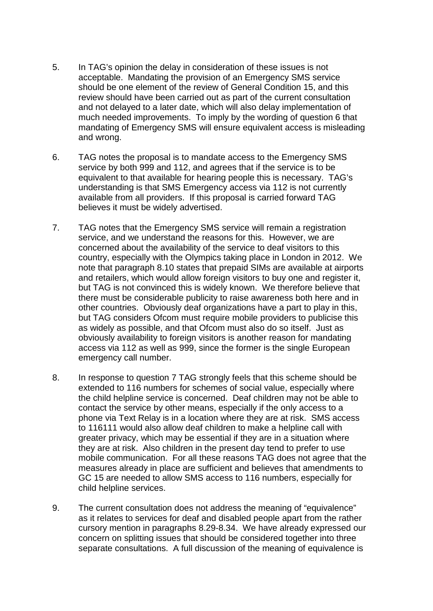- 5. In TAG's opinion the delay in consideration of these issues is not acceptable. Mandating the provision of an Emergency SMS service should be one element of the review of General Condition 15, and this review should have been carried out as part of the current consultation and not delayed to a later date, which will also delay implementation of much needed improvements. To imply by the wording of question 6 that mandating of Emergency SMS will ensure equivalent access is misleading and wrong.
- 6. TAG notes the proposal is to mandate access to the Emergency SMS service by both 999 and 112, and agrees that if the service is to be equivalent to that available for hearing people this is necessary. TAG's understanding is that SMS Emergency access via 112 is not currently available from all providers. If this proposal is carried forward TAG believes it must be widely advertised.
- 7. TAG notes that the Emergency SMS service will remain a registration service, and we understand the reasons for this. However, we are concerned about the availability of the service to deaf visitors to this country, especially with the Olympics taking place in London in 2012. We note that paragraph 8.10 states that prepaid SIMs are available at airports and retailers, which would allow foreign visitors to buy one and register it, but TAG is not convinced this is widely known. We therefore believe that there must be considerable publicity to raise awareness both here and in other countries. Obviously deaf organizations have a part to play in this, but TAG considers Ofcom must require mobile providers to publicise this as widely as possible, and that Ofcom must also do so itself. Just as obviously availability to foreign visitors is another reason for mandating access via 112 as well as 999, since the former is the single European emergency call number.
- 8. In response to question 7 TAG strongly feels that this scheme should be extended to 116 numbers for schemes of social value, especially where the child helpline service is concerned. Deaf children may not be able to contact the service by other means, especially if the only access to a phone via Text Relay is in a location where they are at risk. SMS access to 116111 would also allow deaf children to make a helpline call with greater privacy, which may be essential if they are in a situation where they are at risk. Also children in the present day tend to prefer to use mobile communication. For all these reasons TAG does not agree that the measures already in place are sufficient and believes that amendments to GC 15 are needed to allow SMS access to 116 numbers, especially for child helpline services.
- 9. The current consultation does not address the meaning of "equivalence" as it relates to services for deaf and disabled people apart from the rather cursory mention in paragraphs 8.29-8.34. We have already expressed our concern on splitting issues that should be considered together into three separate consultations. A full discussion of the meaning of equivalence is